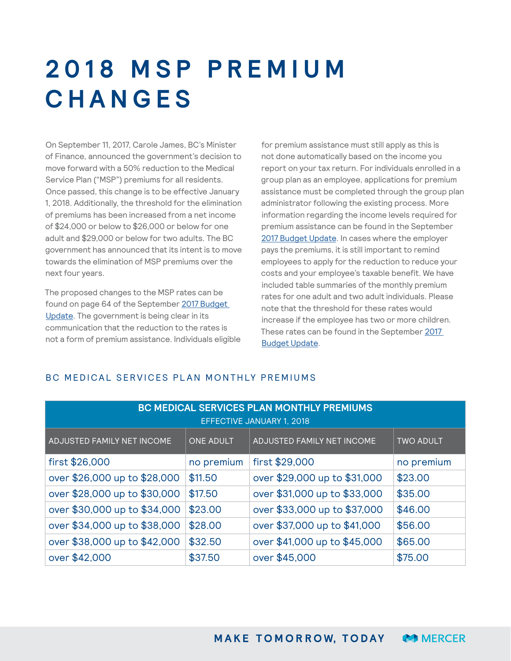# **2 0 1 8 M S P P R E M I U M CHANGES**

On September 11, 2017, Carole James, BC's Minister of Finance, announced the government's decision to move forward with a 50% reduction to the Medical Service Plan ("MSP") premiums for all residents. Once passed, this change is to be effective January 1, 2018. Additionally, the threshold for the elimination of premiums has been increased from a net income of \$24,000 or below to \$26,000 or below for one adult and \$29,000 or below for two adults. The BC government has announced that its intent is to move towards the elimination of MSP premiums over the next four years.

The proposed changes to the MSP rates can be found on page 64 of the September [2017 Budget](http://bcbudget.gov.bc.ca/2017_Sept_Update/bfp/2017_Sept_Update_Budget_and_Fiscal_Plan.pdf)  [Update.](http://bcbudget.gov.bc.ca/2017_Sept_Update/bfp/2017_Sept_Update_Budget_and_Fiscal_Plan.pdf) The government is being clear in its communication that the reduction to the rates is not a form of premium assistance. Individuals eligible for premium assistance must still apply as this is not done automatically based on the income you report on your tax return. For individuals enrolled in a group plan as an employee, applications for premium assistance must be completed through the group plan administrator following the existing process. More information regarding the income levels required for premium assistance can be found in the September [2017 Budget Update](http://bcbudget.gov.bc.ca/2017_Sept_Update/bfp/2017_Sept_Update_Budget_and_Fiscal_Plan.pdf). In cases where the employer pays the premiums, it is still important to remind employees to apply for the reduction to reduce your costs and your employee's taxable benefit. We have included table summaries of the monthly premium rates for one adult and two adult individuals. Please note that the threshold for these rates would increase if the employee has two or more children. These rates can be found in the September 2017 [Budget Update](http://bcbudget.gov.bc.ca/2017_Sept_Update/bfp/2017_Sept_Update_Budget_and_Fiscal_Plan.pdf).

## BC MEDICAL SERVICES PLAN MONTHLY PREMIUMS

| BC MEDICAL SERVICES PLAN MONTHLY PREMIUMS<br><b>EFFECTIVE JANUARY 1, 2018</b> |                  |                              |                  |
|-------------------------------------------------------------------------------|------------------|------------------------------|------------------|
| ADJUSTED FAMILY NET INCOME                                                    | <b>ONE ADULT</b> | ADJUSTED FAMILY NET INCOME   | <b>TWO ADULT</b> |
| first \$26,000                                                                | no premium       | first \$29,000               | no premium       |
| over \$26,000 up to \$28,000                                                  | \$11.50          | over \$29,000 up to \$31,000 | \$23.00          |
| over \$28,000 up to \$30,000                                                  | \$17.50          | over \$31,000 up to \$33,000 | \$35.00          |
| over \$30,000 up to \$34,000                                                  | \$23.00          | over \$33,000 up to \$37,000 | \$46.00          |
| over \$34,000 up to \$38,000                                                  | \$28.00          | over \$37,000 up to \$41,000 | \$56.00          |
| over \$38,000 up to \$42,000                                                  | \$32.50          | over \$41,000 up to \$45,000 | \$65.00          |
| over \$42,000                                                                 | \$37.50          | over \$45,000                | \$75.00          |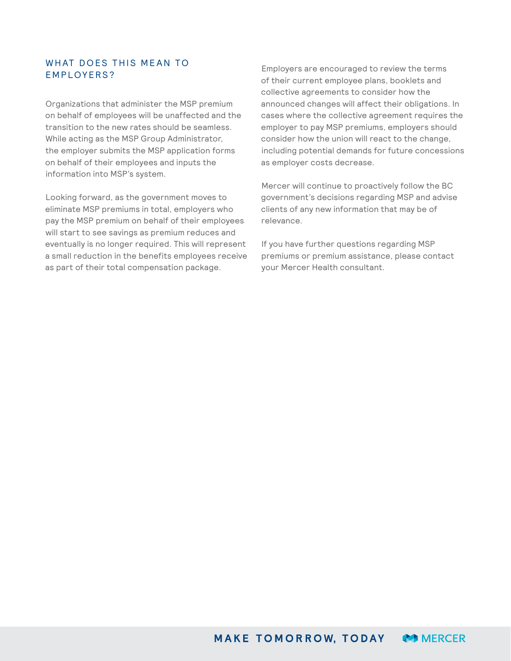#### WHAT DOES THIS MEAN TO EMPLOYERS?

Organizations that administer the MSP premium on behalf of employees will be unaffected and the transition to the new rates should be seamless. While acting as the MSP Group Administrator, the employer submits the MSP application forms on behalf of their employees and inputs the information into MSP's system.

Looking forward, as the government moves to eliminate MSP premiums in total, employers who pay the MSP premium on behalf of their employees will start to see savings as premium reduces and eventually is no longer required. This will represent a small reduction in the benefits employees receive as part of their total compensation package.

Employers are encouraged to review the terms of their current employee plans, booklets and collective agreements to consider how the announced changes will affect their obligations. In cases where the collective agreement requires the employer to pay MSP premiums, employers should consider how the union will react to the change, including potential demands for future concessions as employer costs decrease.

Mercer will continue to proactively follow the BC government's decisions regarding MSP and advise clients of any new information that may be of relevance.

If you have further questions regarding MSP premiums or premium assistance, please contact your Mercer Health consultant.

**MAKE TOMORROW, TODAY MERCER**